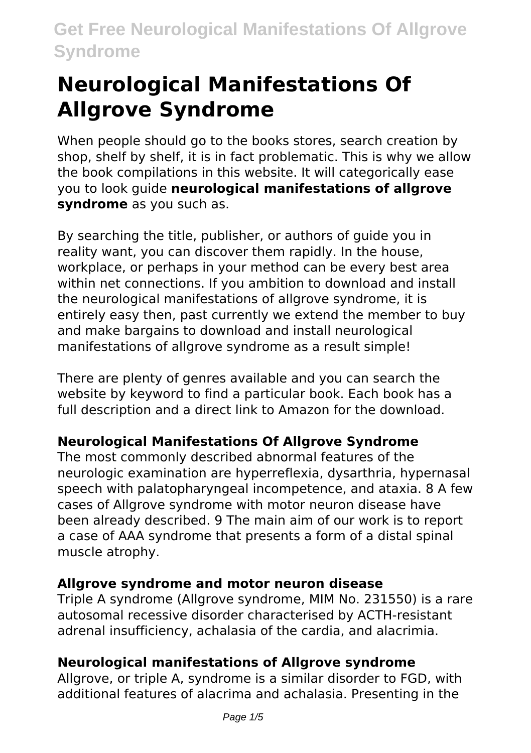# **Neurological Manifestations Of Allgrove Syndrome**

When people should go to the books stores, search creation by shop, shelf by shelf, it is in fact problematic. This is why we allow the book compilations in this website. It will categorically ease you to look guide **neurological manifestations of allgrove syndrome** as you such as.

By searching the title, publisher, or authors of guide you in reality want, you can discover them rapidly. In the house, workplace, or perhaps in your method can be every best area within net connections. If you ambition to download and install the neurological manifestations of allgrove syndrome, it is entirely easy then, past currently we extend the member to buy and make bargains to download and install neurological manifestations of allgrove syndrome as a result simple!

There are plenty of genres available and you can search the website by keyword to find a particular book. Each book has a full description and a direct link to Amazon for the download.

### **Neurological Manifestations Of Allgrove Syndrome**

The most commonly described abnormal features of the neurologic examination are hyperreflexia, dysarthria, hypernasal speech with palatopharyngeal incompetence, and ataxia. 8 A few cases of Allgrove syndrome with motor neuron disease have been already described. 9 The main aim of our work is to report a case of AAA syndrome that presents a form of a distal spinal muscle atrophy.

### **Allgrove syndrome and motor neuron disease**

Triple A syndrome (Allgrove syndrome, MIM No. 231550) is a rare autosomal recessive disorder characterised by ACTH-resistant adrenal insufficiency, achalasia of the cardia, and alacrimia.

### **Neurological manifestations of Allgrove syndrome**

Allgrove, or triple A, syndrome is a similar disorder to FGD, with additional features of alacrima and achalasia. Presenting in the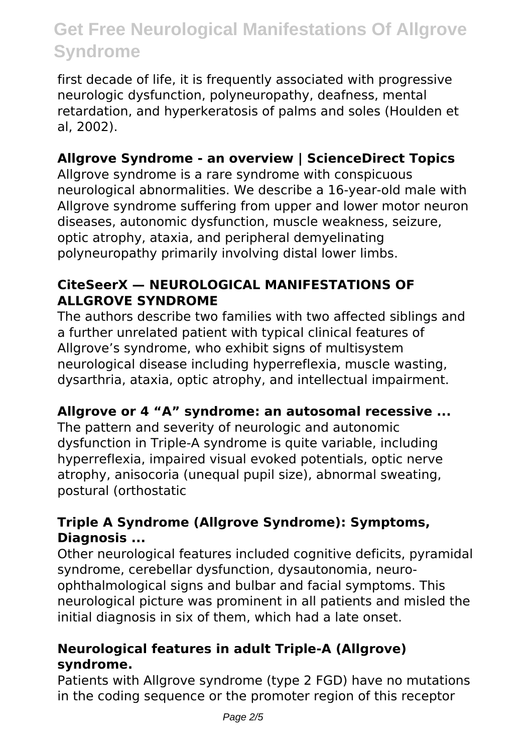first decade of life, it is frequently associated with progressive neurologic dysfunction, polyneuropathy, deafness, mental retardation, and hyperkeratosis of palms and soles (Houlden et al, 2002).

### **Allgrove Syndrome - an overview | ScienceDirect Topics**

Allgrove syndrome is a rare syndrome with conspicuous neurological abnormalities. We describe a 16-year-old male with Allgrove syndrome suffering from upper and lower motor neuron diseases, autonomic dysfunction, muscle weakness, seizure, optic atrophy, ataxia, and peripheral demyelinating polyneuropathy primarily involving distal lower limbs.

#### **CiteSeerX — NEUROLOGICAL MANIFESTATIONS OF ALLGROVE SYNDROME**

The authors describe two families with two affected siblings and a further unrelated patient with typical clinical features of Allgrove's syndrome, who exhibit signs of multisystem neurological disease including hyperreflexia, muscle wasting, dysarthria, ataxia, optic atrophy, and intellectual impairment.

#### **Allgrove or 4 "A" syndrome: an autosomal recessive ...**

The pattern and severity of neurologic and autonomic dysfunction in Triple-A syndrome is quite variable, including hyperreflexia, impaired visual evoked potentials, optic nerve atrophy, anisocoria (unequal pupil size), abnormal sweating, postural (orthostatic

#### **Triple A Syndrome (Allgrove Syndrome): Symptoms, Diagnosis ...**

Other neurological features included cognitive deficits, pyramidal syndrome, cerebellar dysfunction, dysautonomia, neuroophthalmological signs and bulbar and facial symptoms. This neurological picture was prominent in all patients and misled the initial diagnosis in six of them, which had a late onset.

#### **Neurological features in adult Triple-A (Allgrove) syndrome.**

Patients with Allgrove syndrome (type 2 FGD) have no mutations in the coding sequence or the promoter region of this receptor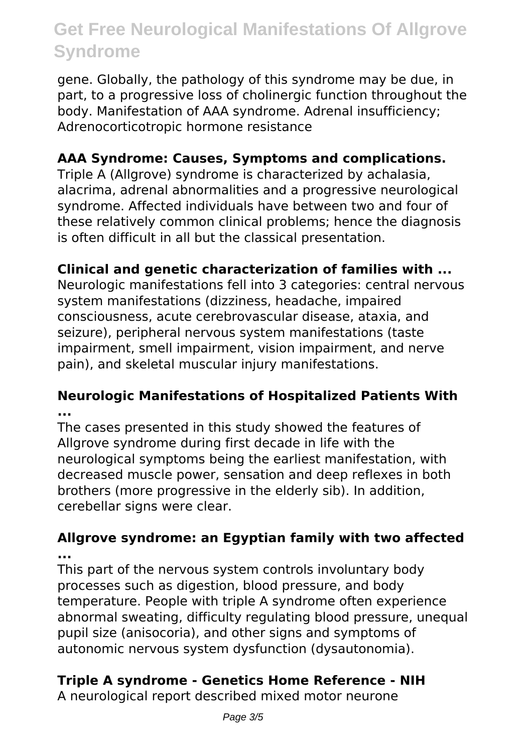gene. Globally, the pathology of this syndrome may be due, in part, to a progressive loss of cholinergic function throughout the body. Manifestation of AAA syndrome. Adrenal insufficiency; Adrenocorticotropic hormone resistance

#### **AAA Syndrome: Causes, Symptoms and complications.**

Triple A (Allgrove) syndrome is characterized by achalasia, alacrima, adrenal abnormalities and a progressive neurological syndrome. Affected individuals have between two and four of these relatively common clinical problems; hence the diagnosis is often difficult in all but the classical presentation.

#### **Clinical and genetic characterization of families with ...**

Neurologic manifestations fell into 3 categories: central nervous system manifestations (dizziness, headache, impaired consciousness, acute cerebrovascular disease, ataxia, and seizure), peripheral nervous system manifestations (taste impairment, smell impairment, vision impairment, and nerve pain), and skeletal muscular injury manifestations.

#### **Neurologic Manifestations of Hospitalized Patients With ...**

The cases presented in this study showed the features of Allgrove syndrome during first decade in life with the neurological symptoms being the earliest manifestation, with decreased muscle power, sensation and deep reflexes in both brothers (more progressive in the elderly sib). In addition, cerebellar signs were clear.

#### **Allgrove syndrome: an Egyptian family with two affected ...**

This part of the nervous system controls involuntary body processes such as digestion, blood pressure, and body temperature. People with triple A syndrome often experience abnormal sweating, difficulty regulating blood pressure, unequal pupil size (anisocoria), and other signs and symptoms of autonomic nervous system dysfunction (dysautonomia).

#### **Triple A syndrome - Genetics Home Reference - NIH**

A neurological report described mixed motor neurone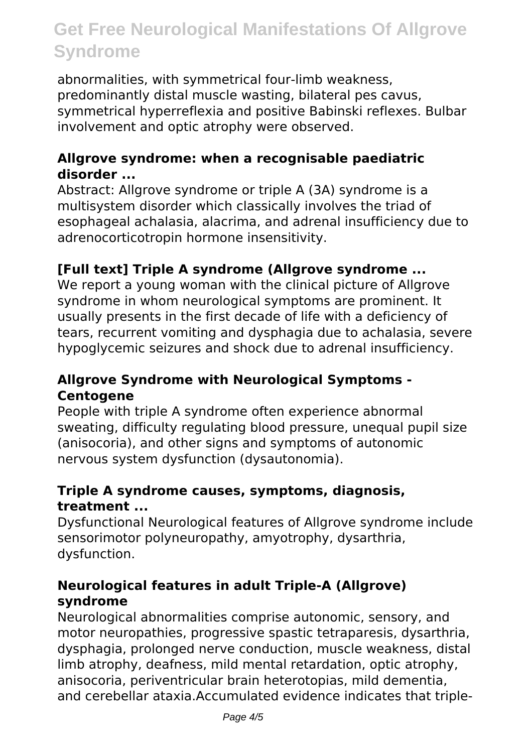abnormalities, with symmetrical four-limb weakness, predominantly distal muscle wasting, bilateral pes cavus, symmetrical hyperreflexia and positive Babinski reflexes. Bulbar involvement and optic atrophy were observed.

#### **Allgrove syndrome: when a recognisable paediatric disorder ...**

Abstract: Allgrove syndrome or triple A (3A) syndrome is a multisystem disorder which classically involves the triad of esophageal achalasia, alacrima, and adrenal insufficiency due to adrenocorticotropin hormone insensitivity.

#### **[Full text] Triple A syndrome (Allgrove syndrome ...**

We report a young woman with the clinical picture of Allgrove syndrome in whom neurological symptoms are prominent. It usually presents in the first decade of life with a deficiency of tears, recurrent vomiting and dysphagia due to achalasia, severe hypoglycemic seizures and shock due to adrenal insufficiency.

#### **Allgrove Syndrome with Neurological Symptoms - Centogene**

People with triple A syndrome often experience abnormal sweating, difficulty regulating blood pressure, unequal pupil size (anisocoria), and other signs and symptoms of autonomic nervous system dysfunction (dysautonomia).

#### **Triple A syndrome causes, symptoms, diagnosis, treatment ...**

Dysfunctional Neurological features of Allgrove syndrome include sensorimotor polyneuropathy, amyotrophy, dysarthria, dysfunction.

#### **Neurological features in adult Triple-A (Allgrove) syndrome**

Neurological abnormalities comprise autonomic, sensory, and motor neuropathies, progressive spastic tetraparesis, dysarthria, dysphagia, prolonged nerve conduction, muscle weakness, distal limb atrophy, deafness, mild mental retardation, optic atrophy, anisocoria, periventricular brain heterotopias, mild dementia, and cerebellar ataxia.Accumulated evidence indicates that triple-